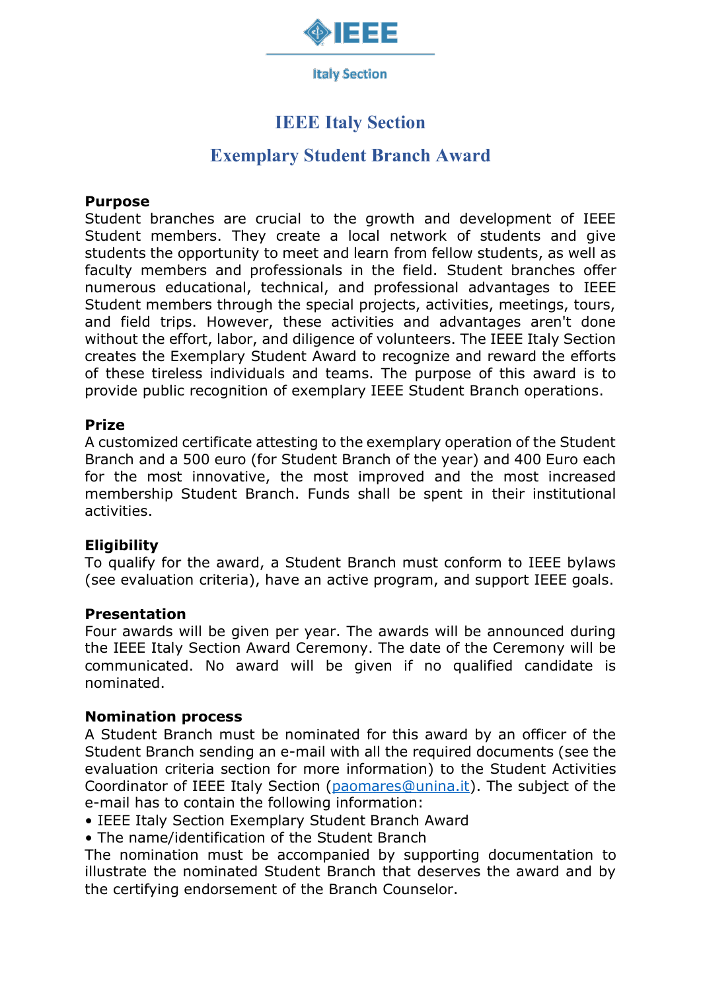

**Italy Section** 

# **IEEE Italy Section**

# **Exemplary Student Branch Award**

### **Purpose**

Student branches are crucial to the growth and development of IEEE Student members. They create a local network of students and give students the opportunity to meet and learn from fellow students, as well as faculty members and professionals in the field. Student branches offer numerous educational, technical, and professional advantages to IEEE Student members through the special projects, activities, meetings, tours, and field trips. However, these activities and advantages aren't done without the effort, labor, and diligence of volunteers. The IEEE Italy Section creates the Exemplary Student Award to recognize and reward the efforts of these tireless individuals and teams. The purpose of this award is to provide public recognition of exemplary IEEE Student Branch operations.

### **Prize**

A customized certificate attesting to the exemplary operation of the Student Branch and a 500 euro (for Student Branch of the year) and 400 Euro each for the most innovative, the most improved and the most increased membership Student Branch. Funds shall be spent in their institutional activities.

# **Eligibility**

To qualify for the award, a Student Branch must conform to IEEE bylaws (see evaluation criteria), have an active program, and support IEEE goals.

#### **Presentation**

Four awards will be given per year. The awards will be announced during the IEEE Italy Section Award Ceremony. The date of the Ceremony will be communicated. No award will be given if no qualified candidate is nominated.

#### **Nomination process**

A Student Branch must be nominated for this award by an officer of the Student Branch sending an e-mail with all the required documents (see the evaluation criteria section for more information) to the Student Activities Coordinator of IEEE Italy Section [\(paomares@unina.it\)](mailto:paomares@unina.it). The subject of the e-mail has to contain the following information:

• IEEE Italy Section Exemplary Student Branch Award

• The name/identification of the Student Branch

The nomination must be accompanied by supporting documentation to illustrate the nominated Student Branch that deserves the award and by the certifying endorsement of the Branch Counselor.